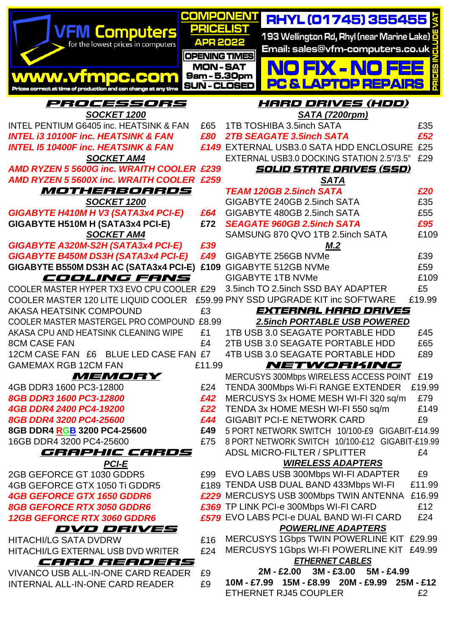|                                                                                    |                      | <b>COMPONENTI</b><br><b>RHYL (01745) 355455 K</b>                             |            |
|------------------------------------------------------------------------------------|----------------------|-------------------------------------------------------------------------------|------------|
|                                                                                    | PRI                  | <u>ic = 1,5</u>                                                               |            |
| vFM Computers<br>for the lowest prices in computers                                | <b>APR 2022</b>      | 193 Wellington Rd, Rhyl (near Marine Lake) <mark>E</mark>                     |            |
|                                                                                    | <b>OPENING TIMES</b> | Email: sales@vfm-computers.co.uk <mark>,</mark>                               |            |
|                                                                                    | <b>MON-SAT</b>       |                                                                               |            |
| WWWAVIM <b>DO</b>                                                                  | 9am - 5.30pm         | NO FX - NO FEE                                                                |            |
| Prices correct at time of production and can change at any time                    | <b>SUN - CLOSED</b>  | <b>PC &amp; LAPTOP REPAIR</b>                                                 |            |
|                                                                                    |                      |                                                                               |            |
| PROCESSORS<br>SOCKET 1200                                                          |                      | <b>HARD DRIVES (HDD)</b><br><b>SATA (7200rpm)</b>                             |            |
| <b>INTEL PENTIUM G6405 inc. HEATSINK &amp; FAN</b>                                 | £65                  | 1TB TOSHIBA 3.5inch SATA                                                      | £35        |
| <b>INTEL I3 10100F inc. HEATSINK &amp; FAN</b>                                     | £80                  | <b>2TB SEAGATE 3.5inch SATA</b>                                               | £52        |
| <b>INTEL I5 10400F inc. HEATSINK &amp; FAN</b>                                     |                      | £149 EXTERNAL USB3.0 SATA HDD ENCLOSURE                                       | £25        |
| <b>SOCKET AM4</b>                                                                  |                      | EXTERNAL USB3.0 DOCKING STATION 2.5"/3.5"                                     | £29        |
| AMD RYZEN 5 5600G inc. WRAITH COOLER £239                                          |                      | SOLID STATE DRIVES (SSD)                                                      |            |
| AMD RYZEN 5 5600X inc. WRAITH COOLER £259                                          |                      | <b>SATA</b>                                                                   |            |
| MOTHERBOARDS                                                                       |                      | <b>TEAM 120GB 2.5inch SATA</b>                                                | £20        |
| SOCKET 1200                                                                        |                      | GIGABYTE 240GB 2.5inch SATA                                                   | £35        |
| <b>GIGABYTE H410M H V3 (SATA3x4 PCI-E)</b>                                         | £64                  | GIGABYTE 480GB 2.5inch SATA                                                   | £55        |
| GIGABYTE H510M H (SATA3x4 PCI-E)                                                   | £72                  | <b>SEAGATE 960GB 2.5inch SATA</b>                                             | £95        |
| <b>SOCKET AM4</b>                                                                  |                      | SAMSUNG 870 QVO 1TB 2.5inch SATA                                              | £109       |
| <b>GIGABYTE A320M-S2H (SATA3x4 PCI-E)</b>                                          | £39                  | M.2                                                                           |            |
| <b>GIGABYTE B450M DS3H (SATA3x4 PCI-E)</b>                                         | £49                  | GIGABYTE 256GB NVMe                                                           | £39        |
| GIGABYTE B550M DS3H AC (SATA3x4 PCI-E)                                             |                      | £109 GIGABYTE 512GB NVMe                                                      | £59        |
| COOLING FANS                                                                       |                      | <b>GIGABYTE 1TB NVMe</b>                                                      | £109       |
| COOLER MASTER HYPER TX3 EVO CPU COOLER £29                                         |                      | 3.5inch TO 2.5inch SSD BAY ADAPTER                                            | £5         |
| <b>COOLER MASTER 120 LITE LIQUID COOLER</b>                                        |                      | £59.99 PNY SSD UPGRADE KIT inc SOFTWARE                                       | £19.99     |
| AKASA HEATSINK COMPOUND                                                            | £3                   | <b>EXTERNAL HARD DRIVES</b>                                                   |            |
| COOLER MASTER MASTERGEL PRO COMPOUND £8.99<br>AKASA CPU AND HEATSINK CLEANING WIPE | £1                   | <b>2.5inch PORTABLE USB POWERED</b>                                           |            |
| <b>8CM CASE FAN</b>                                                                | £4                   | 1TB USB 3.0 SEAGATE PORTABLE HDD<br>2TB USB 3.0 SEAGATE PORTABLE HDD          | £45<br>£65 |
| 12CM CASE FAN £6 BLUE LED CASE FAN £7                                              |                      | 4TB USB 3.0 SEAGATE PORTABLE HDD                                              | £89        |
| <b>GAMEMAX RGB 12CM FAN</b>                                                        | £11.99               | NETWORKING                                                                    |            |
| MEMORY                                                                             |                      | MERCUSYS 300Mbps WIRELESS ACCESS POINT                                        | £19        |
| 4GB DDR3 1600 PC3-12800                                                            | £24                  | TENDA 300Mbps Wi-Fi RANGE EXTENDER                                            | £19.99     |
| 8GB DDR3 1600 PC3-12800                                                            | £42                  | MERCUSYS 3x HOME MESH WI-FI 320 sq/m                                          | £79        |
| 4GB DDR4 2400 PC4-19200                                                            | £22                  | TENDA 3x HOME MESH WI-FI 550 sq/m                                             | £149       |
| 8GB DDR4 3200 PC4-25600                                                            | £44                  | <b>GIGABIT PCI-E NETWORK CARD</b>                                             | £9         |
| 8GB DDR4 RGB 3200 PC4-25600                                                        | £49                  | 5 PORT NETWORK SWITCH 10/100-£9 GIGABIT-£14.99                                |            |
| 16GB DDR4 3200 PC4-25600                                                           | £75                  | 8 PORT NETWORK SWITCH 10/100-£12 GIGABIT-£19.99                               |            |
| <i>GRAPHIC CARDS</i>                                                               |                      | ADSL MICRO-FILTER / SPLITTER                                                  | £4         |
| <b>PCI-E</b>                                                                       |                      | <b>WIRELESS ADAPTERS</b>                                                      |            |
| 2GB GEFORCE GT 1030 GDDR5                                                          |                      | £99 EVO LABS USB 300Mbps WI-FI ADAPTER                                        | £9         |
| 4GB GEFORCE GTX 1050 Ti GDDR5                                                      |                      | £189 TENDA USB DUAL BAND 433Mbps WI-FI                                        | £11.99     |
| <b>4GB GEFORCE GTX 1650 GDDR6</b>                                                  |                      | £229 MERCUSYS USB 300Mbps TWIN ANTENNA                                        | £16.99     |
| 8GB GEFORCE RTX 3050 GDDR6                                                         |                      | £369 TP LINK PCI-e 300Mbps WI-FI CARD                                         | £12        |
| <b>12GB GEFORCE RTX 3060 GDDR6</b>                                                 |                      | £579 EVO LABS PCI-e DUAL BAND WI-FI CARD                                      | £24        |
| DVD DRIVES                                                                         |                      | <b>POWERLINE ADAPTERS</b>                                                     |            |
| <b>HITACHI/LG SATA DVDRW</b>                                                       | £16                  | MERCUSYS 1Gbps TWIN POWERLINE KIT £29.99                                      |            |
| HITACHI/LG EXTERNAL USB DVD WRITER                                                 | £24                  | MERCUSYS 1Gbps WI-FI POWERLINE KIT £49.99<br><b>ETHERNET CABLES</b>           |            |
|                                                                                    |                      |                                                                               |            |
| CARD READERS                                                                       |                      |                                                                               |            |
| <b>VIVANCO USB ALL-IN-ONE CARD READER</b>                                          | £9                   | $2M - £2.00$<br>$3M - £3.00$<br>5M - £4.99                                    |            |
| <b>INTERNAL ALL-IN-ONE CARD READER</b>                                             | £9                   | 10M - £7.99 15M - £8.99 20M - £9.99 25M - £12<br><b>ETHERNET RJ45 COUPLER</b> | £2         |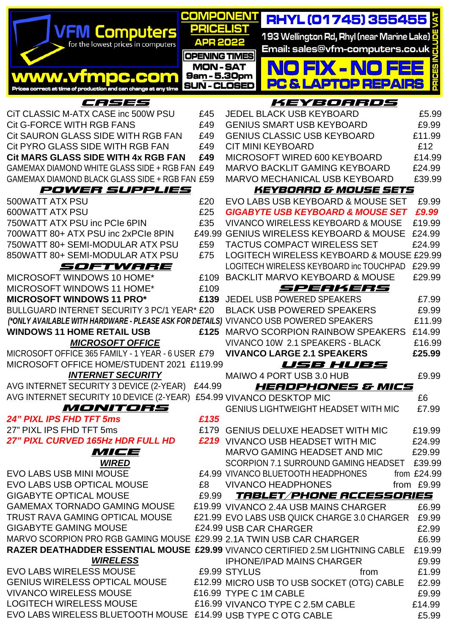| VFM Computers<br>for the lowest prices in computers<br>WWWAVTODO <del>d,</del><br>es correct at time of production and can change at any time: | [CEL<br><b>APR 2022</b><br><b>OPENING TIMES</b><br><b>MON-SAT</b><br><b>9am - 5.30pm</b><br><b>SUN - CLOSED</b> | <b>PONENT</b><br><b>PC &amp; LAPTOP REPAIRS</b>                                      | <b>RHYL (01745) 355455 K</b><br>193 Wellington Rd, Rhyl (near Marine Lake) <mark>E</mark><br>Email: sales@vfm-computers.co.uk <mark>a</mark><br>O FX - NO FEE<br>휴 |
|------------------------------------------------------------------------------------------------------------------------------------------------|-----------------------------------------------------------------------------------------------------------------|--------------------------------------------------------------------------------------|--------------------------------------------------------------------------------------------------------------------------------------------------------------------|
| CASES                                                                                                                                          |                                                                                                                 | KEYBOARDS                                                                            |                                                                                                                                                                    |
| CIT CLASSIC M-ATX CASE inc 500W PSU                                                                                                            | £45                                                                                                             | <b>JEDEL BLACK USB KEYBOARD</b>                                                      | £5.99                                                                                                                                                              |
| Cit G-FORCE WITH RGB FANS                                                                                                                      | £49                                                                                                             | <b>GENIUS SMART USB KEYBOARD</b>                                                     | £9.99                                                                                                                                                              |
| Cit SAURON GLASS SIDE WITH RGB FAN                                                                                                             | £49                                                                                                             | <b>GENIUS CLASSIC USB KEYBOARD</b>                                                   | £11.99                                                                                                                                                             |
| Cit PYRO GLASS SIDE WITH RGB FAN                                                                                                               | £49                                                                                                             | <b>CIT MINI KEYBOARD</b>                                                             | £12                                                                                                                                                                |
| <b>Cit MARS GLASS SIDE WITH 4x RGB FAN</b>                                                                                                     | £49                                                                                                             | MICROSOFT WIRED 600 KEYBOARD<br><b>MARVO BACKLIT GAMING KEYBOARD</b>                 | £14.99                                                                                                                                                             |
| <b>GAMEMAX DIAMOND WHITE GLASS SIDE + RGB FAN £49</b><br>GAMEMAX DIAMOND BLACK GLASS SIDE + RGB FAN £59                                        |                                                                                                                 | <b>MARVO MECHANICAL USB KEYBOARD</b>                                                 | £24.99<br>£39.99                                                                                                                                                   |
| <b>POWER SUPPLIES</b>                                                                                                                          |                                                                                                                 | <b>KEYBOARD &amp; MOUSE SETS</b>                                                     |                                                                                                                                                                    |
| 500WATT ATX PSU                                                                                                                                | £20                                                                                                             | EVO LABS USB KEYBOARD & MOUSE SET                                                    | £9.99                                                                                                                                                              |
| 600WATT ATX PSU                                                                                                                                | £25                                                                                                             | <b>GIGABYTE USB KEYBOARD &amp; MOUSE SET</b>                                         | £9.99                                                                                                                                                              |
| 750WATT ATX PSU inc PCIe 6PIN                                                                                                                  | £35                                                                                                             | <b>VIVANCO WIRELESS KEYBOARD &amp; MOUSE</b>                                         | £19.99                                                                                                                                                             |
| 700WATT 80+ ATX PSU inc 2xPCIe 8PIN                                                                                                            | £49.99                                                                                                          | <b>GENIUS WIRELESS KEYBOARD &amp; MOUSE</b>                                          | £24.99                                                                                                                                                             |
| 750WATT 80+ SEMI-MODULAR ATX PSU                                                                                                               | £59                                                                                                             | <b>TACTUS COMPACT WIRELESS SET</b>                                                   | £24.99                                                                                                                                                             |
| 850WATT 80+ SEMI-MODULAR ATX PSU<br>SOFTWARE                                                                                                   | £75                                                                                                             | LOGITECH WIRELESS KEYBOARD & MOUSE £29.99<br>LOGITECH WIRELESS KEYBOARD inc TOUCHPAD | £29.99                                                                                                                                                             |
| MICROSOFT WINDOWS 10 HOME*                                                                                                                     | £109                                                                                                            | <b>BACKLIT MARVO KEYBOARD &amp; MOUSE</b>                                            | £29.99                                                                                                                                                             |
| MICROSOFT WINDOWS 11 HOME*                                                                                                                     | £109                                                                                                            | SPEAKERS                                                                             |                                                                                                                                                                    |
| <b>MICROSOFT WINDOWS 11 PRO*</b>                                                                                                               | £139                                                                                                            | JEDEL USB POWERED SPEAKERS                                                           | £7.99                                                                                                                                                              |
| BULLGUARD INTERNET SECURITY 3 PC/1 YEAR* £20                                                                                                   |                                                                                                                 | <b>BLACK USB POWERED SPEAKERS</b>                                                    | £9.99                                                                                                                                                              |
| (*ONLY AVAILABLE WITH HARDWARE - PLEASE ASK FOR DETAILS) VIVANCO USB POWERED SPEAKERS                                                          |                                                                                                                 |                                                                                      | £11.99                                                                                                                                                             |
| <b>WINDOWS 11 HOME RETAIL USB</b>                                                                                                              | £125                                                                                                            | MARVO SCORPION RAINBOW SPEAKERS                                                      | £14.99                                                                                                                                                             |
| <b>MICROSOFT OFFICE</b>                                                                                                                        |                                                                                                                 | VIVANCO 10W 2.1 SPEAKERS - BLACK                                                     | £16.99                                                                                                                                                             |
| MICROSOFT OFFICE 365 FAMILY - 1 YEAR - 6 USER £79    VIVANCO LARGE 2.1 SPEAKERS<br>MICROSOFT OFFICE HOME/STUDENT 2021 £119.99 <b>USB HUBS</b>  |                                                                                                                 |                                                                                      | £25.99                                                                                                                                                             |
|                                                                                                                                                |                                                                                                                 | <b>INTERNET SECURITY</b> MAIWO 4 PORT USB 3.0 HUB                                    | £9.99                                                                                                                                                              |
| AVG INTERNET SECURITY 3 DEVICE (2-YEAR) £44.99 <b>HEADPHONES &amp; MICS</b>                                                                    |                                                                                                                 |                                                                                      |                                                                                                                                                                    |
| AVG INTERNET SECURITY 10 DEVICE (2-YEAR) £54.99 VIVANCO DESKTOP MIC                                                                            |                                                                                                                 |                                                                                      | £6                                                                                                                                                                 |
| MONITORS                                                                                                                                       |                                                                                                                 | <b>GENIUS LIGHTWEIGHT HEADSET WITH MIC</b>                                           | £7.99                                                                                                                                                              |
| <b>24" PIXL IPS FHD TFT 5ms</b><br>27" PIXL IPS FHD TFT 5ms                                                                                    | £135                                                                                                            |                                                                                      |                                                                                                                                                                    |
| <b>27" PIXL CURVED 165Hz HDR FULL HD</b>                                                                                                       |                                                                                                                 | £179 GENIUS DELUXE HEADSET WITH MIC                                                  | £19.99                                                                                                                                                             |
|                                                                                                                                                |                                                                                                                 | <b>£219</b> VIVANCO USB HEADSET WITH MIC                                             | £24.99                                                                                                                                                             |
| MARVO GAMING HEADSET AND MIC<br>EVO LABS USB MINI MOUSE<br>EVO LABS USB MINI MOUSE<br>E4.99 VIVANCO BLUETOOTH HEADPHONES from £24.99           |                                                                                                                 |                                                                                      |                                                                                                                                                                    |
|                                                                                                                                                |                                                                                                                 |                                                                                      |                                                                                                                                                                    |
| EVO LABS USB OPTICAL MOUSE E8                                                                                                                  |                                                                                                                 | <b>VIVANCO HEADPHONES</b>                                                            | from £9.99                                                                                                                                                         |
| <b>GIGABYTE OPTICAL MOUSE</b>                                                                                                                  |                                                                                                                 | £9.99 <b>TABLET/PHONE ACCESSORIES</b>                                                |                                                                                                                                                                    |
| GAMEMAX TORNADO GAMING MOUSE £19.99 VIVANCO 2.4A USB MAINS CHARGER                                                                             |                                                                                                                 |                                                                                      | £6.99                                                                                                                                                              |
| TRUST RAVA GAMING OPTICAL MOUSE £21.99 EVO LABS USB QUICK CHARGE 3.0 CHARGER £9.99                                                             |                                                                                                                 |                                                                                      |                                                                                                                                                                    |
| <b>GIGABYTE GAMING MOUSE</b><br>MARVO SCORPION PRO RGB GAMING MOUSE £29.99 2.1A TWIN USB CAR CHARGER                                           |                                                                                                                 | £24.99 USB CAR CHARGER                                                               | £2.99<br>£6.99                                                                                                                                                     |
| RAZER DEATHADDER ESSENTIAL MOUSE £29.99 VIVANCO CERTIFIED 2.5M LIGHTNING CABLE £19.99                                                          |                                                                                                                 |                                                                                      |                                                                                                                                                                    |
|                                                                                                                                                |                                                                                                                 | <b>IPHONE/IPAD MAINS CHARGER</b>                                                     | £9.99                                                                                                                                                              |
| IPHONE/IPAD MAINS CHANNEL MAINS CHANNEL ESS MOUSE EVO LABS WIRELESS MOUSE                                                                      |                                                                                                                 |                                                                                      | £1.99<br>from                                                                                                                                                      |
| GENIUS WIRELESS OPTICAL MOUSE £12.99 MICRO USB TO USB SOCKET (OTG) CABLE                                                                       |                                                                                                                 |                                                                                      | £2.99                                                                                                                                                              |
| VIVANCO WIRELESS MOUSE E16.99 TYPE C 1M CABLE                                                                                                  |                                                                                                                 |                                                                                      | £9.99                                                                                                                                                              |
| LOGITECH WIRELESS MOUSE E16.99 VIVANCO TYPE C 2.5M CABLE                                                                                       |                                                                                                                 |                                                                                      | £14.99                                                                                                                                                             |
| EVO LABS WIRELESS BLUETOOTH MOUSE £14.99 USB TYPE C OTG CABLE                                                                                  |                                                                                                                 |                                                                                      | £5.99                                                                                                                                                              |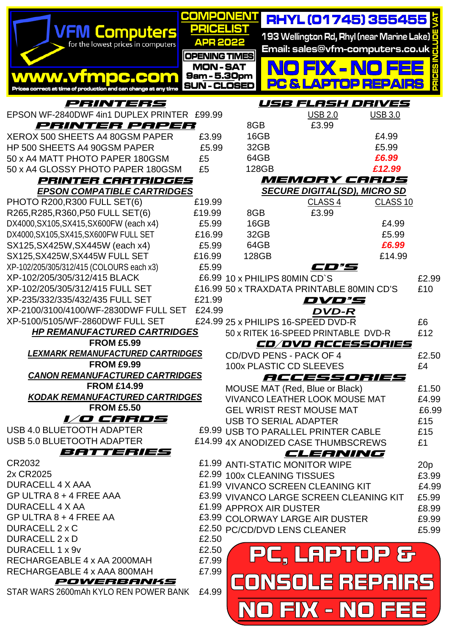|                                                                 | PONENT                                 |       | <b>RHYL (01745) 355455 K</b>  |                                                                 |                                                           |                 |
|-----------------------------------------------------------------|----------------------------------------|-------|-------------------------------|-----------------------------------------------------------------|-----------------------------------------------------------|-----------------|
|                                                                 | <u>iceilst</u>                         |       |                               |                                                                 |                                                           |                 |
| <u>I Computers</u>                                              | <b>APR 2022</b>                        |       |                               |                                                                 | 193 Wellington Rd, Rhyl (near Marine Lake) <mark>E</mark> |                 |
| for the lowest prices in computers                              |                                        |       |                               |                                                                 | Email: sales@vfm-computers.co.uk                          |                 |
|                                                                 | <b>OPENING TIMES</b><br><b>MON-SAT</b> |       |                               |                                                                 |                                                           |                 |
| <u>WWWAVTMOOC</u>                                               | 9am - 5.30pm                           |       |                               |                                                                 | NO FIX - NO F                                             |                 |
| Prices correct at time of production and can change at any time | <b>SUN - CLOSED</b>                    |       |                               |                                                                 | PC & LAPTOP REPAIRS                                       |                 |
|                                                                 |                                        |       |                               |                                                                 |                                                           |                 |
| PRINTERS                                                        |                                        |       |                               |                                                                 | USB FLASH DRIVES                                          |                 |
| EPSON WF-2840DWF 4in1 DUPLEX PRINTER £99.99                     |                                        | 8GB   |                               | <b>USB 2.0</b><br>£3.99                                         | <b>USB 3.0</b>                                            |                 |
| PRINTER PAPER<br>XEROX 500 SHEETS A4 80GSM PAPER                | £3.99                                  |       | 16GB                          |                                                                 | £4.99                                                     |                 |
| HP 500 SHEETS A4 90GSM PAPER                                    | £5.99                                  | 32GB  |                               |                                                                 | £5.99                                                     |                 |
| 50 x A4 MATT PHOTO PAPER 180GSM                                 | £5                                     | 64GB  |                               |                                                                 | £6.99                                                     |                 |
| 50 x A4 GLOSSY PHOTO PAPER 180GSM                               | £5                                     |       | 128GB                         |                                                                 | £12.99                                                    |                 |
| <b>PRINTER CARTRIDGES</b>                                       |                                        |       |                               |                                                                 | <b>MEMORY CARDS</b>                                       |                 |
| <b>EPSON COMPATIBLE CARTRIDGES</b>                              |                                        |       |                               |                                                                 | <b>SECURE DIGITAL(SD), MICRO SD</b>                       |                 |
| PHOTO R200, R300 FULL SET(6)                                    | £19.99                                 |       |                               | CLASS <sub>4</sub>                                              | CLASS <sub>10</sub>                                       |                 |
| R265, R285, R360, P50 FULL SET(6)                               | £19.99                                 | 8GB   |                               | £3.99                                                           |                                                           |                 |
| DX4000, SX105, SX415, SX600FW (each x4)                         | £5.99                                  |       | 16GB                          |                                                                 | £4.99                                                     |                 |
| DX4000, SX105, SX415, SX600FW FULL SET                          | £16.99                                 | 32GB  |                               |                                                                 | £5.99                                                     |                 |
| SX125, SX425W, SX445W (each x4)                                 | £5.99                                  | 64GB  |                               |                                                                 | £6.99                                                     |                 |
| SX125, SX425W, SX445W FULL SET                                  | £16.99                                 | 128GB |                               |                                                                 | £14.99                                                    |                 |
| XP-102/205/305/312/415 (COLOURS each x3)                        | £5.99                                  |       |                               | CD'S                                                            |                                                           |                 |
| XP-102/205/305/312/415 BLACK                                    |                                        |       | £6.99 10 x PHILIPS 80MIN CD'S |                                                                 |                                                           | £2.99           |
| XP-102/205/305/312/415 FULL SET                                 |                                        |       |                               |                                                                 | £16.99 50 x TRAXDATA PRINTABLE 80MIN CD'S                 | £10             |
| XP-235/332/335/432/435 FULL SET                                 | £21.99                                 |       |                               | DVD'S                                                           |                                                           |                 |
| XP-2100/3100/4100/WF-2830DWF FULL SET                           | £24.99                                 |       |                               | DVD-R                                                           |                                                           |                 |
| XP-5100/5105/WF-2860DWF FULL SET                                |                                        |       |                               | £24.99 25 x PHILIPS 16-SPEED DVD-R                              |                                                           | £6              |
| <b>HP REMANUFACTURED CARTRIDGES</b>                             |                                        |       |                               |                                                                 | 50 x RITEK 16-SPEED PRINTABLE DVD-R                       | £12             |
| <b>FROM £5.99</b>                                               |                                        |       |                               |                                                                 | CD/DVD ACCESSORIES                                        |                 |
| <b>LEXMARK REMANUFACTURED CARTRIDGES</b>                        |                                        |       |                               | CD/DVD PENS - PACK OF 4                                         |                                                           | £2.50           |
| <b>FROM £9.99</b>                                               |                                        |       |                               | <b>100x PLASTIC CD SLEEVES</b>                                  |                                                           | £4              |
| <b>CANON REMANUFACTURED CARTRIDGES</b>                          |                                        |       |                               |                                                                 | <b>ACCESSORIES</b>                                        |                 |
| <b>FROM £14.99</b>                                              |                                        |       |                               | MOUSE MAT (Red, Blue or Black)                                  |                                                           | £1.50           |
| <b>KODAK REMANUFACTURED CARTRIDGES</b>                          |                                        |       |                               | <b>VIVANCO LEATHER LOOK MOUSE MAT</b>                           |                                                           | £4.99           |
| <b>FROM £5.50</b>                                               |                                        |       |                               | <b>GEL WRIST REST MOUSE MAT</b>                                 |                                                           | £6.99           |
| I/O CARDS                                                       |                                        |       |                               | <b>USB TO SERIAL ADAPTER</b>                                    |                                                           | £15             |
| USB 4.0 BLUETOOTH ADAPTER                                       |                                        |       |                               | £9.99 USB TO PARALLEL PRINTER CABLE                             |                                                           | £15             |
| USB 5.0 BLUETOOTH ADAPTER                                       |                                        |       |                               | £14.99 4X ANODIZED CASE THUMBSCREWS                             |                                                           | £1              |
| BATTERIES                                                       |                                        |       |                               | CLEANING                                                        |                                                           |                 |
| CR2032<br>2x CR2025                                             |                                        |       |                               | £1.99 ANTI-STATIC MONITOR WIPE                                  |                                                           | 20 <sub>p</sub> |
| <b>DURACELL 4 X AAA</b>                                         |                                        |       | £2.99 100x CLEANING TISSUES   |                                                                 |                                                           | £3.99           |
| GP ULTRA 8 + 4 FREE AAA                                         |                                        |       |                               | £1.99 VIVANCO SCREEN CLEANING KIT                               |                                                           | £4.99           |
| <b>DURACELL 4 X AA</b>                                          |                                        |       |                               |                                                                 | £3.99 VIVANCO LARGE SCREEN CLEANING KIT                   | £5.99           |
| GP ULTRA 8 + 4 FREE AA                                          |                                        |       | £1.99 APPROX AIR DUSTER       |                                                                 |                                                           | £8.99           |
| DURACELL 2 x C                                                  |                                        |       |                               | £3.99 COLORWAY LARGE AIR DUSTER<br>£2.50 PC/CD/DVD LENS CLEANER |                                                           | £9.99           |
| DURACELL 2 x D                                                  | £2.50                                  |       |                               |                                                                 |                                                           | £5.99           |
| DURACELL 1 x 9v                                                 | £2.50                                  |       |                               |                                                                 |                                                           |                 |
| RECHARGEABLE 4 x AA 2000MAH                                     | £7.99                                  |       |                               |                                                                 | PC, LAPTOP &                                              |                 |
| RECHARGEABLE 4 x AAA 800MAH                                     | £7.99                                  |       |                               |                                                                 |                                                           |                 |
| POWERBANKS                                                      |                                        |       |                               |                                                                 | ONSOLE REPAIRS                                            |                 |
| STAR WARS 2600mAh KYLO REN POWER BANK                           | £4.99                                  |       |                               |                                                                 |                                                           |                 |
|                                                                 |                                        |       |                               |                                                                 |                                                           |                 |
|                                                                 |                                        |       |                               |                                                                 | NO FIX - NO FEE                                           |                 |